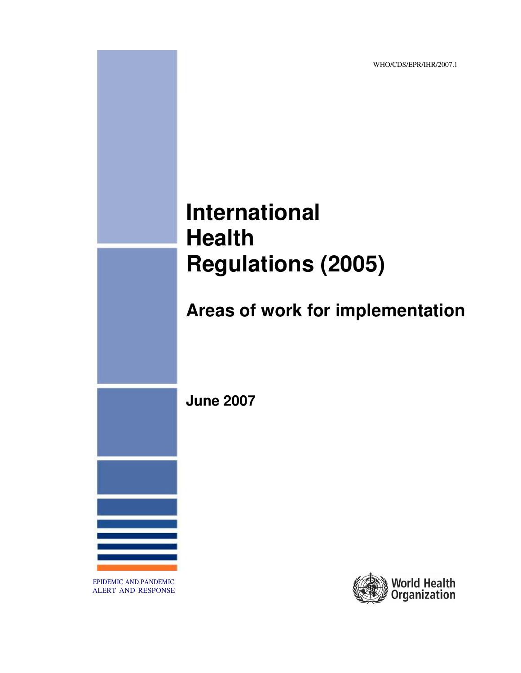WHO/CDS/EPR/IHR/2007.1

# **International Health Regulations (2005)**

# **Areas of work for implementation**

**June 2007**



EPIDEMIC AND PANDEMIC ALERT AND RESPONSE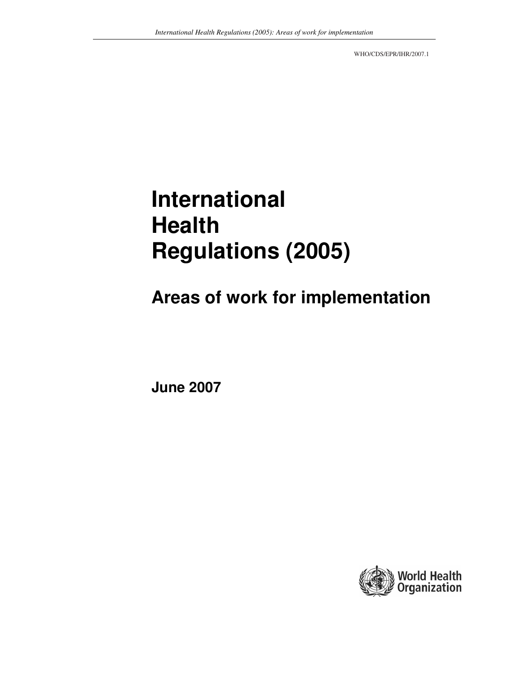WHO/CDS/EPR/IHR/2007.1

# **International Health Regulations (2005)**

**Areas of work for implementation**

**June 2007**

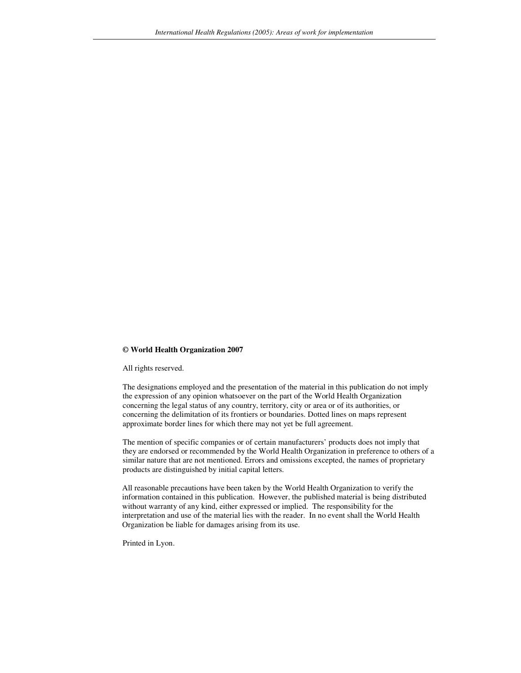#### **© World Health Organization 2007**

All rights reserved.

The designations employed and the presentation of the material in this publication do not imply the expression of any opinion whatsoever on the part of the World Health Organization concerning the legal status of any country, territory, city or area or of its authorities, or concerning the delimitation of its frontiers or boundaries. Dotted lines on maps represent approximate border lines for which there may not yet be full agreement.

The mention of specific companies or of certain manufacturers' products does not imply that they are endorsed or recommended by the World Health Organization in preference to others of a similar nature that are not mentioned. Errors and omissions excepted, the names of proprietary products are distinguished by initial capital letters.

All reasonable precautions have been taken by the World Health Organization to verify the information contained in this publication. However, the published material is being distributed without warranty of any kind, either expressed or implied. The responsibility for the interpretation and use of the material lies with the reader. In no event shall the World Health Organization be liable for damages arising from its use.

Printed in Lyon.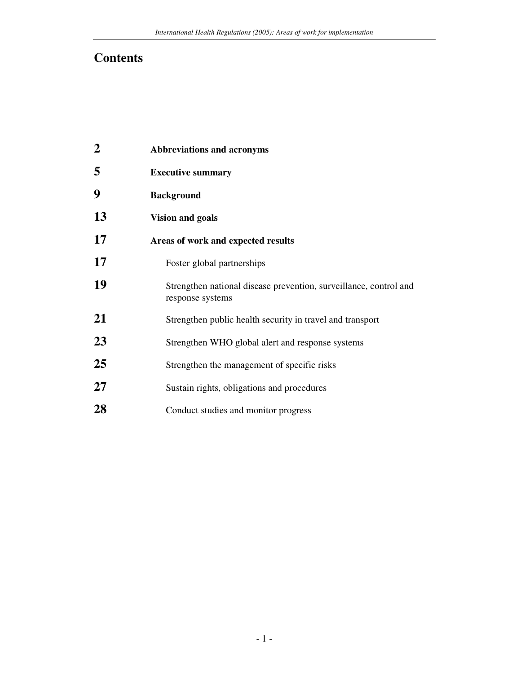## **Contents**

| $\overline{2}$ | <b>Abbreviations and acronyms</b>                                                     |
|----------------|---------------------------------------------------------------------------------------|
| 5              | <b>Executive summary</b>                                                              |
| 9              | <b>Background</b>                                                                     |
| 13             | <b>Vision and goals</b>                                                               |
| 17             | Areas of work and expected results                                                    |
| 17             | Foster global partnerships                                                            |
| 19             | Strengthen national disease prevention, surveillance, control and<br>response systems |
| 21             | Strengthen public health security in travel and transport                             |
| 23             | Strengthen WHO global alert and response systems                                      |
| 25             | Strengthen the management of specific risks                                           |
| 27             | Sustain rights, obligations and procedures                                            |
| 28             | Conduct studies and monitor progress                                                  |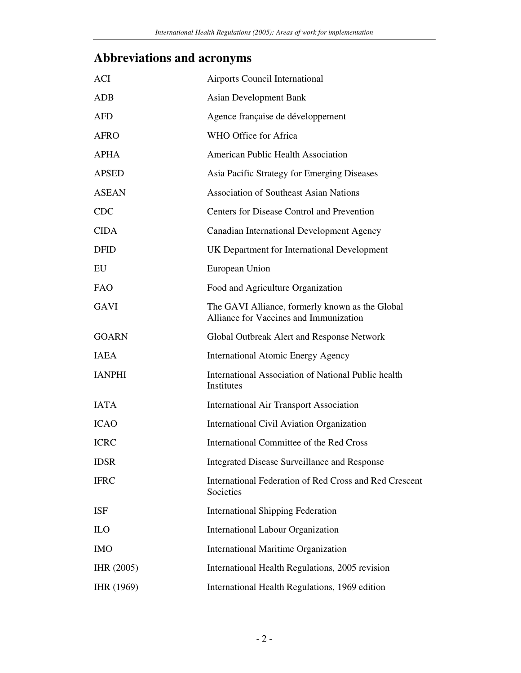## **Abbreviations and acronyms**

| <b>ACI</b>    | Airports Council International                                                            |
|---------------|-------------------------------------------------------------------------------------------|
| <b>ADB</b>    | <b>Asian Development Bank</b>                                                             |
| <b>AFD</b>    | Agence française de développement                                                         |
| <b>AFRO</b>   | WHO Office for Africa                                                                     |
| <b>APHA</b>   | American Public Health Association                                                        |
| <b>APSED</b>  | Asia Pacific Strategy for Emerging Diseases                                               |
| <b>ASEAN</b>  | <b>Association of Southeast Asian Nations</b>                                             |
| <b>CDC</b>    | Centers for Disease Control and Prevention                                                |
| <b>CIDA</b>   | Canadian International Development Agency                                                 |
| <b>DFID</b>   | UK Department for International Development                                               |
| EU            | European Union                                                                            |
| <b>FAO</b>    | Food and Agriculture Organization                                                         |
| <b>GAVI</b>   | The GAVI Alliance, formerly known as the Global<br>Alliance for Vaccines and Immunization |
| <b>GOARN</b>  | Global Outbreak Alert and Response Network                                                |
| <b>IAEA</b>   | <b>International Atomic Energy Agency</b>                                                 |
| <b>IANPHI</b> | <b>International Association of National Public health</b><br>Institutes                  |
| <b>IATA</b>   | <b>International Air Transport Association</b>                                            |
| <b>ICAO</b>   | International Civil Aviation Organization                                                 |
| <b>ICRC</b>   | International Committee of the Red Cross                                                  |
| <b>IDSR</b>   | Integrated Disease Surveillance and Response                                              |
| <b>IFRC</b>   | International Federation of Red Cross and Red Crescent<br>Societies                       |
| <b>ISF</b>    | <b>International Shipping Federation</b>                                                  |
| <b>ILO</b>    | <b>International Labour Organization</b>                                                  |
| <b>IMO</b>    | <b>International Maritime Organization</b>                                                |
| IHR (2005)    | International Health Regulations, 2005 revision                                           |
| IHR (1969)    | International Health Regulations, 1969 edition                                            |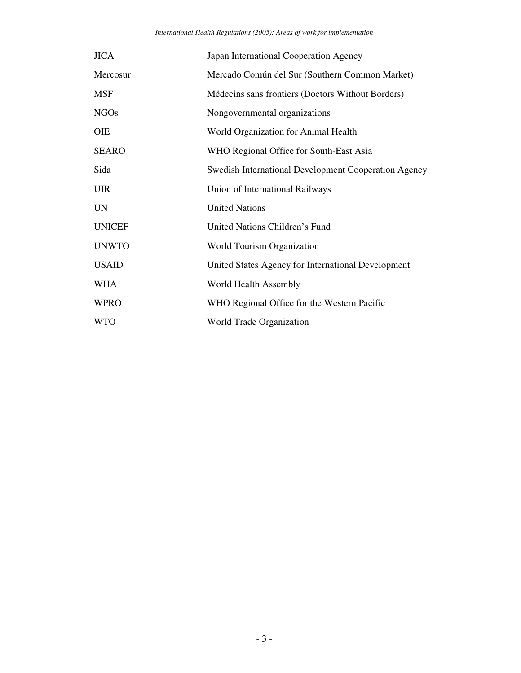| <b>JICA</b>   | Japan International Cooperation Agency                      |
|---------------|-------------------------------------------------------------|
| Mercosur      | Mercado Común del Sur (Southern Common Market)              |
| <b>MSF</b>    | Médecins sans frontiers (Doctors Without Borders)           |
| <b>NGOs</b>   | Nongovernmental organizations                               |
| <b>OIE</b>    | World Organization for Animal Health                        |
| <b>SEARO</b>  | WHO Regional Office for South-East Asia                     |
| Sida          | <b>Swedish International Development Cooperation Agency</b> |
| <b>UIR</b>    | Union of International Railways                             |
| <b>UN</b>     | <b>United Nations</b>                                       |
| <b>UNICEF</b> | United Nations Children's Fund                              |
| <b>UNWTO</b>  | World Tourism Organization                                  |
| <b>USAID</b>  | United States Agency for International Development          |
| <b>WHA</b>    | World Health Assembly                                       |
| <b>WPRO</b>   | WHO Regional Office for the Western Pacific                 |
| <b>WTO</b>    | World Trade Organization                                    |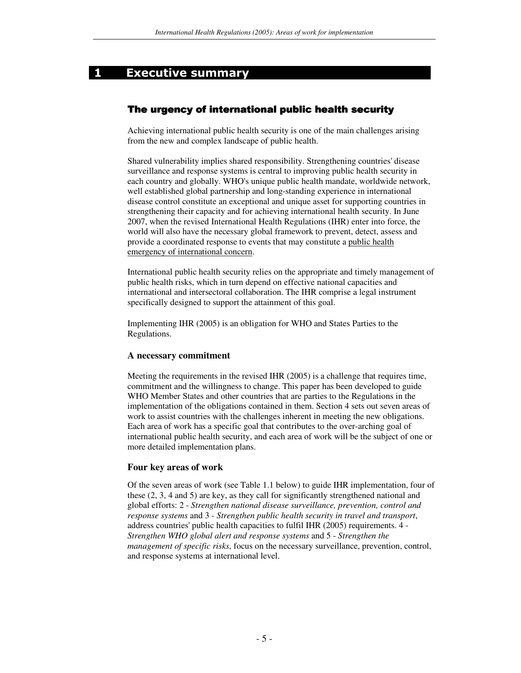## **1** Executive summary

## The urgency of international public health security

Achieving international public health security is one of the main challenges arising from the new and complex landscape of public health.

Shared vulnerability implies shared responsibility. Strengthening countries'disease surveillance and response systems is central to improving public health security in each country and globally. WHO's unique public health mandate, worldwide network, well established global partnership and long-standing experience in international disease control constitute an exceptional and unique asset for supporting countries in strengthening their capacity and for achieving international health security. In June 2007, when the revised International Health Regulations (IHR) enter into force, the world will also have the necessary global framework to prevent, detect, assess and provide a coordinated response to events that may constitute a public health emergency of international concern.

International public health security relies on the appropriate and timely management of public health risks, which in turn depend on effective national capacities and international and intersectoral collaboration. The IHR comprise a legal instrument specifically designed to support the attainment of this goal.

Implementing IHR (2005) is an obligation for WHO and States Parties to the Regulations.

#### **A necessary commitment**

Meeting the requirements in the revised IHR (2005) is a challenge that requires time, commitment and the willingness to change. This paper has been developed to guide WHO Member States and other countries that are parties to the Regulations in the implementation of the obligations contained in them. Section 4 sets out seven areas of work to assist countries with the challenges inherent in meeting the new obligations. Each area of work has a specific goal that contributes to the over-arching goal of international public health security, and each area of work will be the subject of one or more detailed implementation plans.

## **Four key areas of work**

Of the seven areas of work (see Table 1.1 below) to guide IHR implementation, four of these (2, 3, 4 and 5) are key, as they call for significantly strengthened national and global efforts: 2 - *Strengthen national disease surveillance, prevention, control and response systems* and 3 - *Strengthen public health security in travel and transport*, address countries'public health capacities to fulfil IHR (2005) requirements. 4 - *Strengthen WHO global alert and response systems* and 5 - *Strengthen the management of specific risks*, focus on the necessary surveillance, prevention, control, and response systems at international level.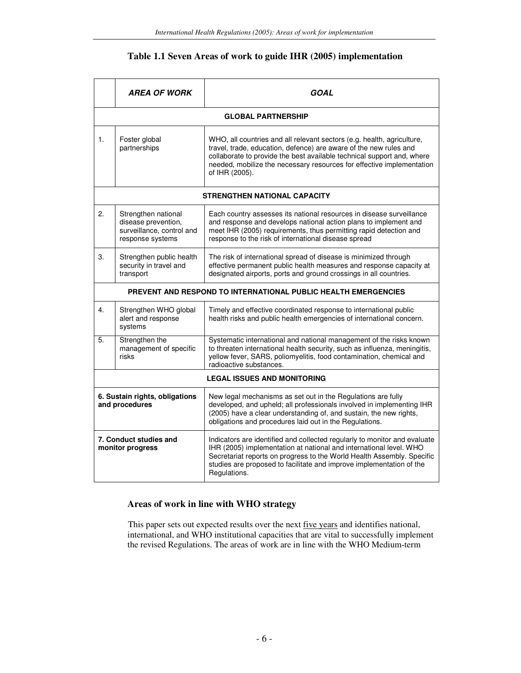## **Table 1.1 Seven Areas of work to guide IHR (2005) implementation**

|                                                  | <b>AREA OF WORK</b>                                                                         | GOAL                                                                                                                                                                                                                                                                                                              |
|--------------------------------------------------|---------------------------------------------------------------------------------------------|-------------------------------------------------------------------------------------------------------------------------------------------------------------------------------------------------------------------------------------------------------------------------------------------------------------------|
|                                                  |                                                                                             | <b>GLOBAL PARTNERSHIP</b>                                                                                                                                                                                                                                                                                         |
| 1.                                               | Foster global<br>partnerships                                                               | WHO, all countries and all relevant sectors (e.g. health, agriculture,<br>travel, trade, education, defence) are aware of the new rules and<br>collaborate to provide the best available technical support and, where<br>needed, mobilize the necessary resources for effective implementation<br>of IHR (2005).  |
|                                                  |                                                                                             | STRENGTHEN NATIONAL CAPACITY                                                                                                                                                                                                                                                                                      |
| 2.                                               | Strengthen national<br>disease prevention,<br>surveillance, control and<br>response systems | Each country assesses its national resources in disease surveillance<br>and response and develops national action plans to implement and<br>meet IHR (2005) requirements, thus permitting rapid detection and<br>response to the risk of international disease spread                                             |
| 3.                                               | Strengthen public health<br>security in travel and<br>transport                             | The risk of international spread of disease is minimized through<br>effective permanent public health measures and response capacity at<br>designated airports, ports and ground crossings in all countries.                                                                                                      |
|                                                  |                                                                                             | PREVENT AND RESPOND TO INTERNATIONAL PUBLIC HEALTH EMERGENCIES                                                                                                                                                                                                                                                    |
| 4.                                               | Strengthen WHO global<br>alert and response<br>systems                                      | Timely and effective coordinated response to international public<br>health risks and public health emergencies of international concern.                                                                                                                                                                         |
| 5.                                               | Strengthen the<br>management of specific<br>risks                                           | Systematic international and national management of the risks known<br>to threaten international health security, such as influenza, meningitis,<br>yellow fever, SARS, poliomyelitis, food contamination, chemical and<br>radioactive substances.                                                                |
|                                                  |                                                                                             | <b>LEGAL ISSUES AND MONITORING</b>                                                                                                                                                                                                                                                                                |
| 6. Sustain rights, obligations<br>and procedures |                                                                                             | New legal mechanisms as set out in the Regulations are fully<br>developed, and upheld; all professionals involved in implementing IHR<br>(2005) have a clear understanding of, and sustain, the new rights,<br>obligations and procedures laid out in the Regulations.                                            |
| 7. Conduct studies and<br>monitor progress       |                                                                                             | Indicators are identified and collected regularly to monitor and evaluate<br>IHR (2005) implementation at national and international level. WHO<br>Secretariat reports on progress to the World Health Assembly. Specific<br>studies are proposed to facilitate and improve implementation of the<br>Regulations. |

## **Areas of work in line with WHO strategy**

This paper sets out expected results over the next five years and identifies national, international, and WHO institutional capacities that are vital to successfully implement the revised Regulations. The areas of work are in line with the WHO Medium-term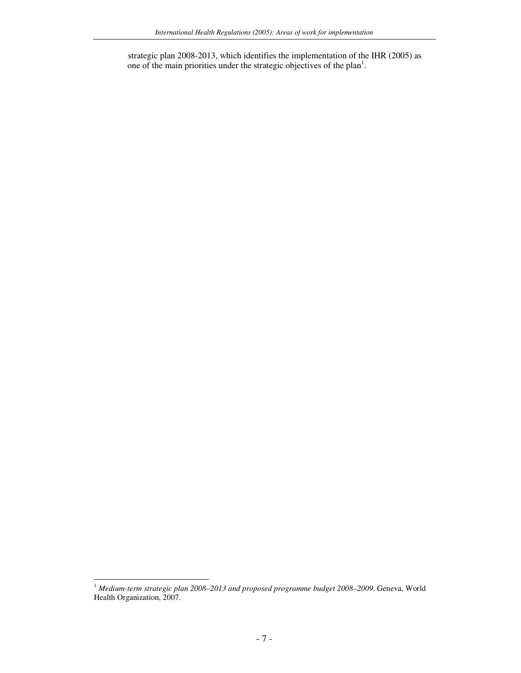strategic plan 2008-2013, which identifies the implementation of the IHR (2005) as one of the main priorities under the strategic objectives of the plan<sup>1</sup>.

<sup>1</sup> *Medium-term strategic plan 2008–2013 and proposed programme budget 2008–2009*. Geneva, World Health Organization, 2007.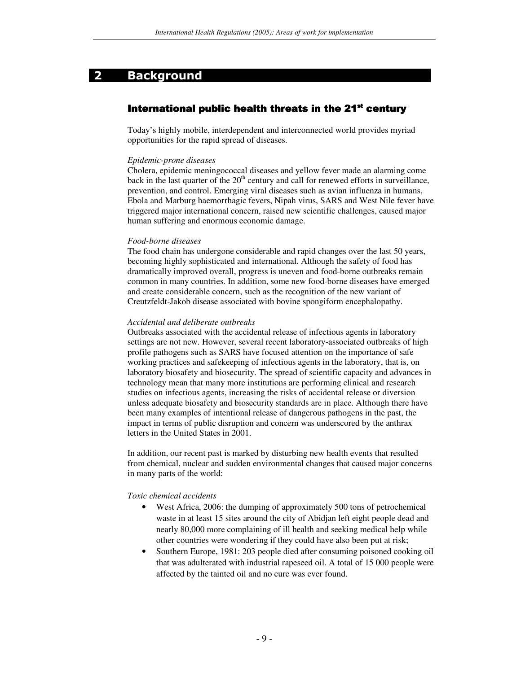## 2 Background

## International public health threats in the 21<sup>st</sup> century

Today's highly mobile, interdependent and interconnected world provides myriad opportunities for the rapid spread of diseases.

#### *Epidemic-prone diseases*

Cholera, epidemic meningococcal diseases and yellow fever made an alarming come back in the last quarter of the 20<sup>th</sup> century and call for renewed efforts in surveillance, prevention, and control. Emerging viral diseases such as avian influenza in humans, Ebola and Marburg haemorrhagic fevers, Nipah virus, SARS and West Nile fever have triggered major international concern, raised new scientific challenges, caused major human suffering and enormous economic damage.

#### *Food-borne diseases*

The food chain has undergone considerable and rapid changes over the last 50 years, becoming highly sophisticated and international. Although the safety of food has dramatically improved overall, progress is uneven and food-borne outbreaks remain common in many countries. In addition, some new food-borne diseases have emerged and create considerable concern, such as the recognition of the new variant of Creutzfeldt-Jakob disease associated with bovine spongiform encephalopathy.

#### *Accidental and deliberate outbreaks*

Outbreaks associated with the accidental release of infectious agents in laboratory settings are not new. However, several recent laboratory-associated outbreaks of high profile pathogens such as SARS have focused attention on the importance of safe working practices and safekeeping of infectious agents in the laboratory, that is, on laboratory biosafety and biosecurity. The spread of scientific capacity and advances in technology mean that many more institutions are performing clinical and research studies on infectious agents, increasing the risks of accidental release or diversion unless adequate biosafety and biosecurity standards are in place. Although there have been many examples of intentional release of dangerous pathogens in the past, the impact in terms of public disruption and concern was underscored by the anthrax letters in the United States in 2001.

In addition, our recent past is marked by disturbing new health events that resulted from chemical, nuclear and sudden environmental changes that caused major concerns in many parts of the world:

#### *Toxic chemical accidents*

- West Africa, 2006: the dumping of approximately 500 tons of petrochemical waste in at least 15 sites around the city of Abidjan left eight people dead and nearly 80,000 more complaining of ill health and seeking medical help while other countries were wondering if they could have also been put at risk;
- Southern Europe, 1981: 203 people died after consuming poisoned cooking oil that was adulterated with industrial rapeseed oil. A total of 15 000 people were affected by the tainted oil and no cure was ever found.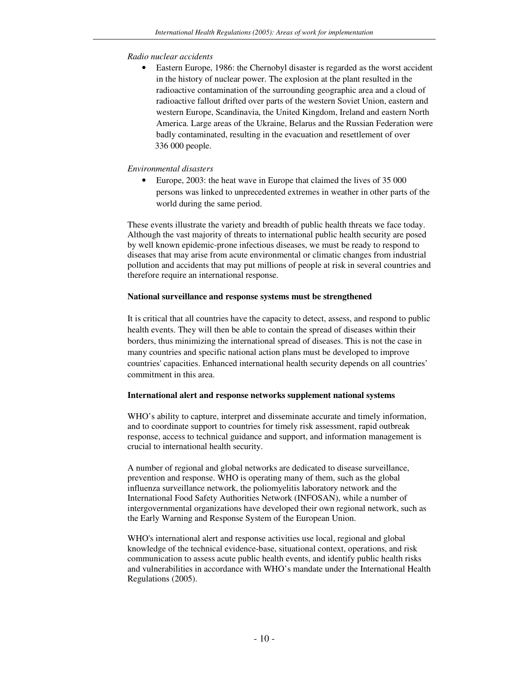## *Radio nuclear accidents*

• Eastern Europe, 1986: the Chernobyl disaster is regarded as the worst accident in the history of nuclear power. The explosion at the plant resulted in the radioactive contamination of the surrounding geographic area and a cloud of radioactive fallout drifted over parts of the western Soviet Union, eastern and western Europe, Scandinavia, the United Kingdom, Ireland and eastern North America. Large areas of the Ukraine, Belarus and the Russian Federation were badly contaminated, resulting in the evacuation and resettlement of over 336 000 people.

## *Environmental disasters*

• Europe, 2003: the heat wave in Europe that claimed the lives of 35 000 persons was linked to unprecedented extremes in weather in other parts of the world during the same period.

These events illustrate the variety and breadth of public health threats we face today. Although the vast majority of threats to international public health security are posed by well known epidemic-prone infectious diseases, we must be ready to respond to diseases that may arise from acute environmental or climatic changes from industrial pollution and accidents that may put millions of people at risk in several countries and therefore require an international response.

## **National surveillance and response systems must be strengthened**

It is critical that all countries have the capacity to detect, assess, and respond to public health events. They will then be able to contain the spread of diseases within their borders, thus minimizing the international spread of diseases. This is not the case in many countries and specific national action plans must be developed to improve countries'capacities. Enhanced international health security depends on all countries' commitment in this area.

## **International alert and response networks supplement national systems**

WHO's ability to capture, interpret and disseminate accurate and timely information, and to coordinate support to countries for timely risk assessment, rapid outbreak response, access to technical guidance and support, and information management is crucial to international health security.

A number of regional and global networks are dedicated to disease surveillance, prevention and response. WHO is operating many of them, such as the global influenza surveillance network, the poliomyelitis laboratory network and the International Food Safety Authorities Network (INFOSAN), while a number of intergovernmental organizations have developed their own regional network, such as the Early Warning and Response System of the European Union.

WHO's international alert and response activities use local, regional and global knowledge of the technical evidence-base, situational context, operations, and risk communication to assess acute public health events, and identify public health risks and vulnerabilities in accordance with WHO's mandate under the International Health Regulations (2005).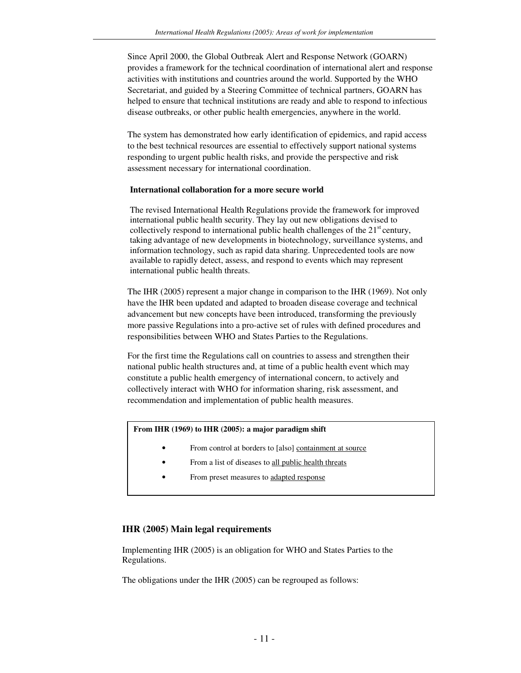Since April 2000, the Global Outbreak Alert and Response Network (GOARN) provides a framework for the technical coordination of international alert and response activities with institutions and countries around the world. Supported by the WHO Secretariat, and guided by a Steering Committee of technical partners, GOARN has helped to ensure that technical institutions are ready and able to respond to infectious disease outbreaks, or other public health emergencies, anywhere in the world.

The system has demonstrated how early identification of epidemics, and rapid access to the best technical resources are essential to effectively support national systems responding to urgent public health risks, and provide the perspective and risk assessment necessary for international coordination.

## **International collaboration for a more secure world**

The revised International Health Regulations provide the framework for improved international public health security. They lay out new obligations devised to collectively respond to international public health challenges of the 21<sup>st</sup> century, taking advantage of new developments in biotechnology, surveillance systems, and information technology, such as rapid data sharing. Unprecedented tools are now available to rapidly detect, assess, and respond to events which may represent international public health threats.

The IHR (2005) represent a major change in comparison to the IHR (1969). Not only have the IHR been updated and adapted to broaden disease coverage and technical advancement but new concepts have been introduced, transforming the previously more passive Regulations into a pro-active set of rules with defined procedures and responsibilities between WHO and States Parties to the Regulations.

For the first time the Regulations call on countries to assess and strengthen their national public health structures and, at time of a public health event which may constitute a public health emergency of international concern, to actively and collectively interact with WHO for information sharing, risk assessment, and recommendation and implementation of public health measures.

#### **From IHR (1969) to IHR (2005): a major paradigm shift**

- From control at borders to [also] containment at source
- From a list of diseases to all public health threats
- From preset measures to adapted response

#### **IHR (2005) Main legal requirements**

Implementing IHR (2005) is an obligation for WHO and States Parties to the Regulations.

The obligations under the IHR (2005) can be regrouped as follows: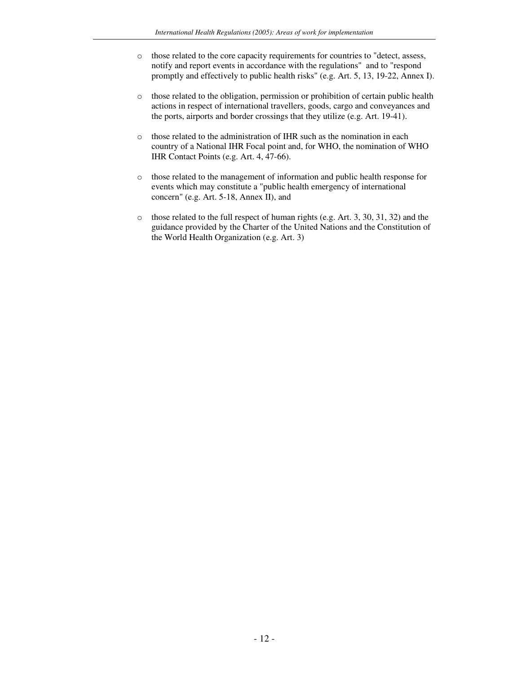- o those related to the core capacity requirements for countries to "detect, assess, notify and report events in accordance with the regulations" and to "respond promptly and effectively to public health risks" (e.g. Art. 5, 13, 19-22, Annex I).
- o those related to the obligation, permission or prohibition of certain public health actions in respect of international travellers, goods, cargo and conveyances and the ports, airports and border crossings that they utilize (e.g. Art. 19-41).
- o those related to the administration of IHR such as the nomination in each country of a National IHR Focal point and, for WHO, the nomination of WHO IHR Contact Points (e.g. Art. 4, 47-66).
- o those related to the management of information and public health response for events which may constitute a "public health emergency of international concern" (e.g. Art. 5-18, Annex II), and
- o those related to the full respect of human rights (e.g. Art. 3, 30, 31, 32) and the guidance provided by the Charter of the United Nations and the Constitution of the World Health Organization (e.g. Art. 3)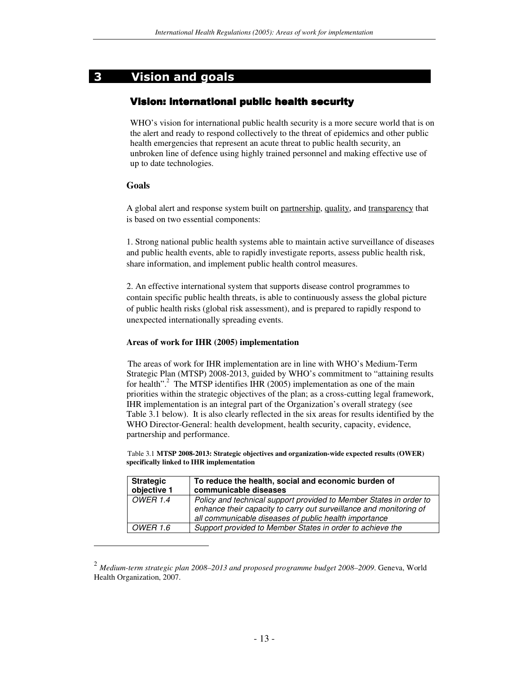## 3 Vision and goals

## Vision: international public health security

WHO's vision for international public health security is a more secure world that is on the alert and ready to respond collectively to the threat of epidemics and other public health emergencies that represent an acute threat to public health security, an unbroken line of defence using highly trained personnel and making effective use of up to date technologies.

## **Goals**

A global alert and response system built on partnership, quality, and transparency that is based on two essential components:

1. Strong national public health systems able to maintain active surveillance of diseases and public health events, able to rapidly investigate reports, assess public health risk, share information, and implement public health control measures.

2. An effective international system that supports disease control programmes to contain specific public health threats, is able to continuously assess the global picture of public health risks (global risk assessment), and is prepared to rapidly respond to unexpected internationally spreading events.

## **Areas of work for IHR (2005) implementation**

The areas of work for IHR implementation are in line with WHO's Medium-Term Strategic Plan (MTSP) 2008-2013, guided by WHO's commitment to "attaining results for health".<sup>2</sup> The MTSP identifies IHR (2005) implementation as one of the main priorities within the strategic objectives of the plan; as a cross-cutting legal framework, IHR implementation is an integral part of the Organization's overall strategy (see Table 3.1 below). It is also clearly reflected in the six areas for results identified by the WHO Director-General: health development, health security, capacity, evidence, partnership and performance.

Table 3.1 **MTSP 2008-2013: Strategic objectives and organization-wide expected results (OWER) specifically linked to IHR implementation**

| <b>Strategic</b><br>objective 1 | To reduce the health, social and economic burden of<br>communicable diseases                                                                                                                      |
|---------------------------------|---------------------------------------------------------------------------------------------------------------------------------------------------------------------------------------------------|
| <b>OWER 1.4</b>                 | Policy and technical support provided to Member States in order to<br>enhance their capacity to carry out surveillance and monitoring of<br>all communicable diseases of public health importance |
| <i>OWER 1.6</i>                 | Support provided to Member States in order to achieve the                                                                                                                                         |

<sup>2</sup> *Medium-term strategic plan 2008–2013 and proposed programme budget 2008–2009*. Geneva, World Health Organization, 2007.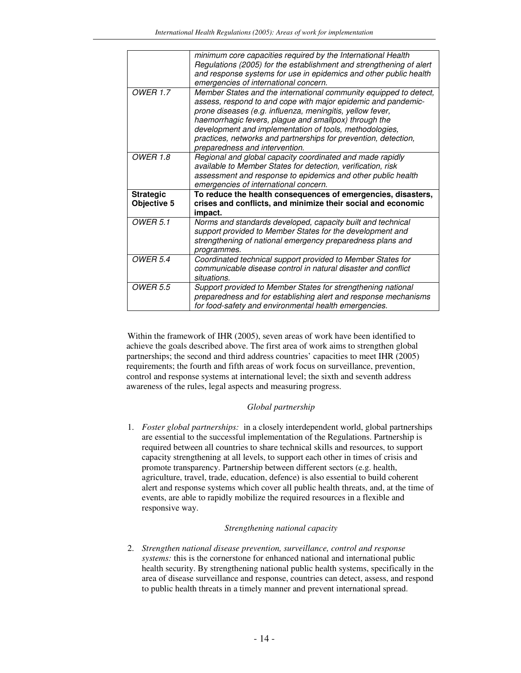|                                 | minimum core capacities required by the International Health<br>Regulations (2005) for the establishment and strengthening of alert<br>and response systems for use in epidemics and other public health<br>emergencies of international concern.                                                                                                                                                                        |
|---------------------------------|--------------------------------------------------------------------------------------------------------------------------------------------------------------------------------------------------------------------------------------------------------------------------------------------------------------------------------------------------------------------------------------------------------------------------|
| <b>OWER 1.7</b>                 | Member States and the international community equipped to detect,<br>assess, respond to and cope with major epidemic and pandemic-<br>prone diseases (e.g. influenza, meningitis, yellow fever,<br>haemorrhagic fevers, plague and smallpox) through the<br>development and implementation of tools, methodologies,<br>practices, networks and partnerships for prevention, detection,<br>preparedness and intervention. |
| <b>OWER 1.8</b>                 | Regional and global capacity coordinated and made rapidly<br>available to Member States for detection, verification, risk<br>assessment and response to epidemics and other public health                                                                                                                                                                                                                                |
|                                 | emergencies of international concern.                                                                                                                                                                                                                                                                                                                                                                                    |
| <b>Strategic</b><br>Objective 5 | To reduce the health consequences of emergencies, disasters,<br>crises and conflicts, and minimize their social and economic<br>impact.                                                                                                                                                                                                                                                                                  |
| <b>OWER 5.1</b>                 | Norms and standards developed, capacity built and technical<br>support provided to Member States for the development and<br>strengthening of national emergency preparedness plans and<br>programmes.                                                                                                                                                                                                                    |
| <b>OWER 5.4</b>                 | Coordinated technical support provided to Member States for<br>communicable disease control in natural disaster and conflict<br>situations.                                                                                                                                                                                                                                                                              |

Within the framework of IHR (2005), seven areas of work have been identified to achieve the goals described above. The first area of work aims to strengthen global partnerships; the second and third address countries' capacities to meet IHR (2005) requirements; the fourth and fifth areas of work focus on surveillance, prevention, control and response systems at international level; the sixth and seventh address awareness of the rules, legal aspects and measuring progress.

## *Global partnership*

1. *Foster global partnerships:* in a closely interdependent world, global partnerships are essential to the successful implementation of the Regulations. Partnership is required between all countries to share technical skills and resources, to support capacity strengthening at all levels, to support each other in times of crisis and promote transparency. Partnership between different sectors (e.g. health, agriculture, travel, trade, education, defence) is also essential to build coherent alert and response systems which cover all public health threats, and, at the time of events, are able to rapidly mobilize the required resources in a flexible and responsive way.

## *Strengthening national capacity*

2. *Strengthen national disease prevention, surveillance, control and response systems:* this is the cornerstone for enhanced national and international public health security. By strengthening national public health systems, specifically in the area of disease surveillance and response, countries can detect, assess, and respond to public health threats in a timely manner and prevent international spread.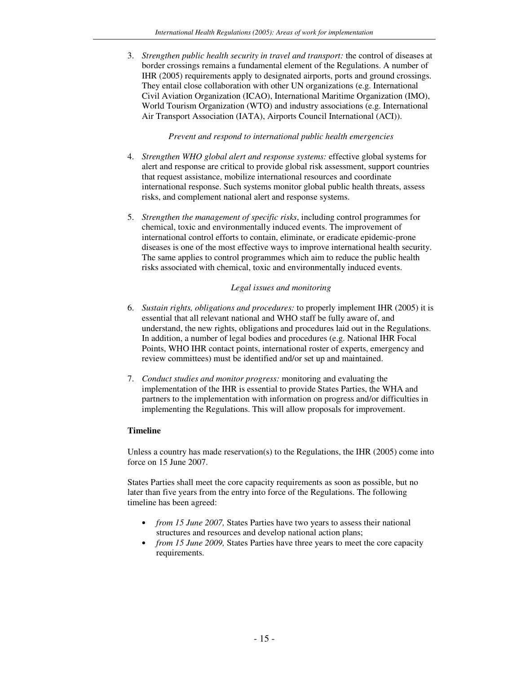3. *Strengthen public health security in travel and transport:* the control of diseases at border crossings remains a fundamental element of the Regulations. A number of IHR (2005) requirements apply to designated airports, ports and ground crossings. They entail close collaboration with other UN organizations (e.g. International Civil Aviation Organization (ICAO), International Maritime Organization (IMO), World Tourism Organization (WTO) and industry associations (e.g. International Air Transport Association (IATA), Airports Council International (ACI)).

## *Prevent and respond to international public health emergencies*

- 4. *Strengthen WHO global alert and response systems:* effective global systems for alert and response are critical to provide global risk assessment, support countries that request assistance, mobilize international resources and coordinate international response. Such systems monitor global public health threats, assess risks, and complement national alert and response systems.
- 5. *Strengthen the management of specific risks*, including control programmes for chemical, toxic and environmentally induced events. The improvement of international control efforts to contain, eliminate, or eradicate epidemic-prone diseases is one of the most effective ways to improve international health security. The same applies to control programmes which aim to reduce the public health risks associated with chemical, toxic and environmentally induced events.

## *Legal issues and monitoring*

- 6. *Sustain rights, obligations and procedures:* to properly implement IHR (2005) it is essential that all relevant national and WHO staff be fully aware of, and understand, the new rights, obligations and procedures laid out in the Regulations. In addition, a number of legal bodies and procedures (e.g. National IHR Focal Points, WHO IHR contact points, international roster of experts, emergency and review committees) must be identified and/or set up and maintained.
- 7. *Conduct studies and monitor progress:* monitoring and evaluating the implementation of the IHR is essential to provide States Parties, the WHA and partners to the implementation with information on progress and/or difficulties in implementing the Regulations. This will allow proposals for improvement.

## **Timeline**

Unless a country has made reservation(s) to the Regulations, the IHR (2005) come into force on 15 June 2007.

States Parties shall meet the core capacity requirements as soon as possible, but no later than five years from the entry into force of the Regulations. The following timeline has been agreed:

- *from 15 June 2007,* States Parties have two years to assess their national structures and resources and develop national action plans;
- *from 15 June 2009,* States Parties have three years to meet the core capacity requirements.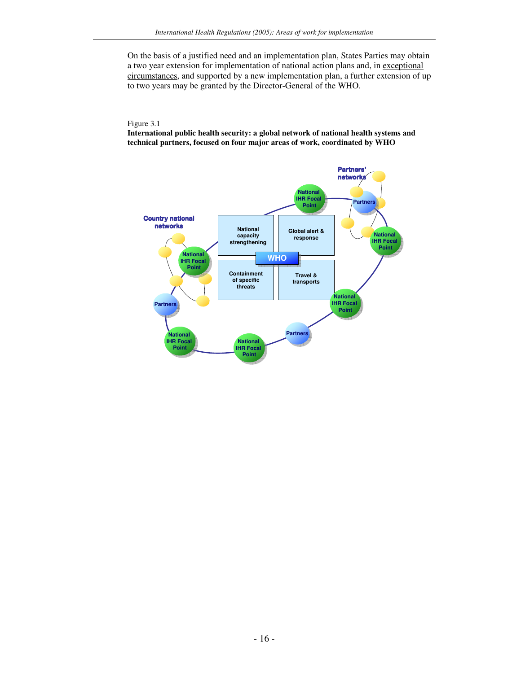On the basis of a justified need and an implementation plan, States Parties may obtain a two year extension for implementation of national action plans and, in exceptional circumstances, and supported by a new implementation plan, a further extension of up to two years may be granted by the Director-General of the WHO.

#### Figure 3.1

**International public health security: a global network of national health systems and technical partners, focused on four major areas of work, coordinated by WHO**

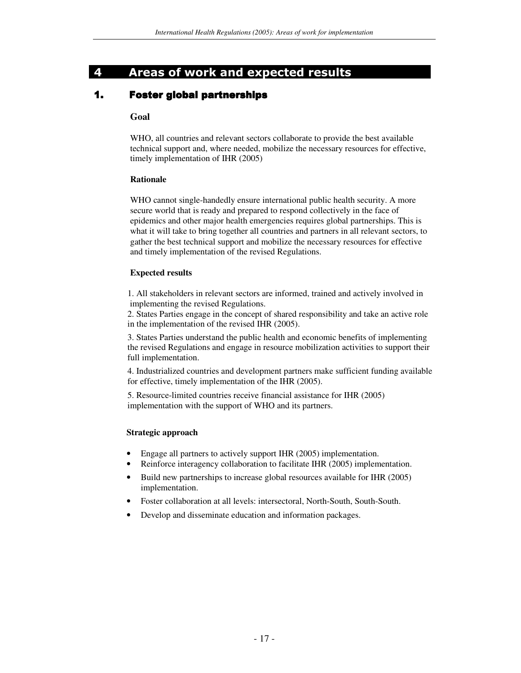## 4 Areas of work and expected results

## **1. Foster global partnerships**

## **Goal**

WHO, all countries and relevant sectors collaborate to provide the best available technical support and, where needed, mobilize the necessary resources for effective, timely implementation of IHR (2005)

## **Rationale**

WHO cannot single-handedly ensure international public health security. A more secure world that is ready and prepared to respond collectively in the face of epidemics and other major health emergencies requires global partnerships. This is what it will take to bring together all countries and partners in all relevant sectors, to gather the best technical support and mobilize the necessary resources for effective and timely implementation of the revised Regulations.

#### **Expected results**

1. All stakeholders in relevant sectors are informed, trained and actively involved in implementing the revised Regulations.

2. States Parties engage in the concept of shared responsibility and take an active role in the implementation of the revised IHR (2005).

3. States Parties understand the public health and economic benefits of implementing the revised Regulations and engage in resource mobilization activities to support their full implementation.

4. Industrialized countries and development partners make sufficient funding available for effective, timely implementation of the IHR (2005).

5. Resource-limited countries receive financial assistance for IHR (2005) implementation with the support of WHO and its partners.

## **Strategic approach**

- Engage all partners to actively support IHR (2005) implementation.
- Reinforce interagency collaboration to facilitate IHR (2005) implementation.
- Build new partnerships to increase global resources available for IHR (2005) implementation.
- Foster collaboration at all levels: intersectoral, North-South, South-South.
- Develop and disseminate education and information packages.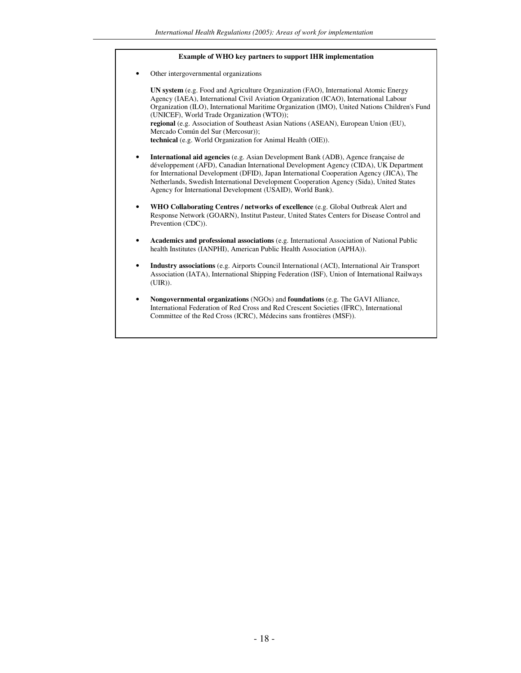#### **Example of WHO key partners to support IHR implementation**

Other intergovernmental organizations

**UN system** (e.g. Food and Agriculture Organization (FAO), International Atomic Energy Agency (IAEA), International Civil Aviation Organization (ICAO), International Labour Organization (ILO), International Maritime Organization (IMO), United Nations Children's Fund (UNICEF), World Trade Organization (WTO)); **regional** (e.g. Association of Southeast Asian Nations (ASEAN), European Union (EU), Mercado Común del Sur (Mercosur)); **technical** (e.g. World Organization for Animal Health (OIE)).

- **International aid agencies** (e.g. Asian Development Bank (ADB), Agence française de développement (AFD), Canadian International Development Agency (CIDA), UK Department for International Development (DFID), Japan International Cooperation Agency (JICA), The Netherlands, Swedish International Development Cooperation Agency (Sida), United States Agency for International Development (USAID), World Bank).
- **WHO Collaborating Centres / networks of excellence** (e.g. Global Outbreak Alert and Response Network (GOARN), Institut Pasteur, United States Centers for Disease Control and Prevention (CDC)).
- **Academics and professional associations** (e.g. International Association of National Public health Institutes (IANPHI), American Public Health Association (APHA)).
- **Industry associations** (e.g. Airports Council International (ACI), International Air Transport Association (IATA), International Shipping Federation (ISF), Union of International Railways (UIR)).
- **Nongovernmental organizations** (NGOs) and **foundations** (e.g. The GAVI Alliance, International Federation of Red Cross and Red Crescent Societies (IFRC), International Committee of the Red Cross (ICRC), Médecins sans frontières (MSF)).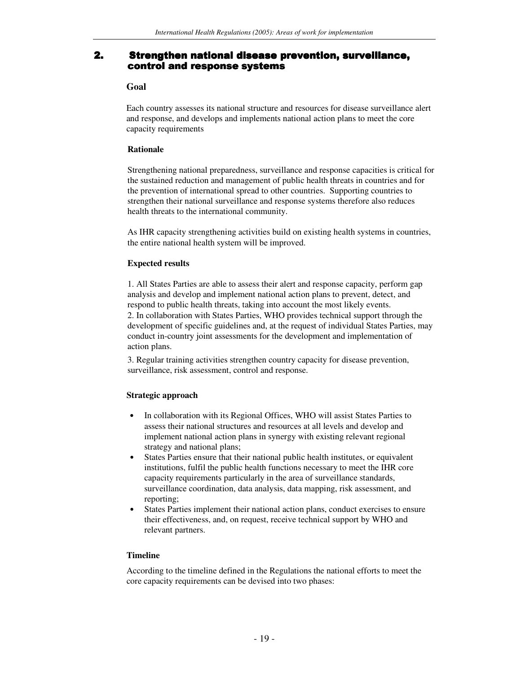## 2. Strengthen national disease prevention, surveillance, control and response systems

#### **Goal**

Each country assesses its national structure and resources for disease surveillance alert and response, and develops and implements national action plans to meet the core capacity requirements

#### **Rationale**

Strengthening national preparedness, surveillance and response capacities is critical for the sustained reduction and management of public health threats in countries and for the prevention of international spread to other countries. Supporting countries to strengthen their national surveillance and response systems therefore also reduces health threats to the international community.

As IHR capacity strengthening activities build on existing health systems in countries, the entire national health system will be improved.

## **Expected results**

1. All States Parties are able to assess their alert and response capacity, perform gap analysis and develop and implement national action plans to prevent, detect, and respond to public health threats, taking into account the most likely events. 2. In collaboration with States Parties, WHO provides technical support through the development of specific guidelines and, at the request of individual States Parties, may conduct in-country joint assessments for the development and implementation of action plans.

3. Regular training activities strengthen country capacity for disease prevention, surveillance, risk assessment, control and response.

## **Strategic approach**

- In collaboration with its Regional Offices, WHO will assist States Parties to assess their national structures and resources at all levels and develop and implement national action plans in synergy with existing relevant regional strategy and national plans;
- States Parties ensure that their national public health institutes, or equivalent institutions, fulfil the public health functions necessary to meet the IHR core capacity requirements particularly in the area of surveillance standards, surveillance coordination, data analysis, data mapping, risk assessment, and reporting;
- States Parties implement their national action plans, conduct exercises to ensure their effectiveness, and, on request, receive technical support by WHO and relevant partners.

#### **Timeline**

According to the timeline defined in the Regulations the national efforts to meet the core capacity requirements can be devised into two phases: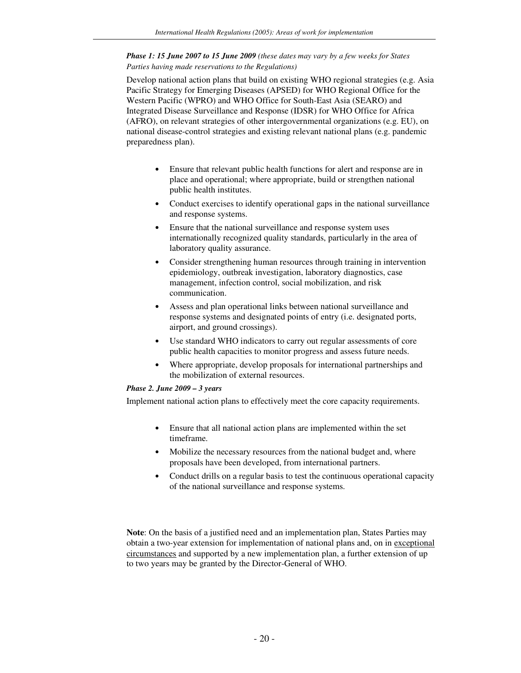#### *Phase 1: 15 June 2007 to 15 June 2009 (these dates may vary by a few weeks for States Parties having made reservations to the Regulations)*

Develop national action plans that build on existing WHO regional strategies (e.g. Asia Pacific Strategy for Emerging Diseases (APSED) for WHO Regional Office for the Western Pacific (WPRO) and WHO Office for South-East Asia (SEARO) and Integrated Disease Surveillance and Response (IDSR) for WHO Office for Africa (AFRO), on relevant strategies of other intergovernmental organizations (e.g. EU), on national disease-control strategies and existing relevant national plans (e.g. pandemic preparedness plan).

- Ensure that relevant public health functions for alert and response are in place and operational; where appropriate, build or strengthen national public health institutes.
- Conduct exercises to identify operational gaps in the national surveillance and response systems.
- Ensure that the national surveillance and response system uses internationally recognized quality standards, particularly in the area of laboratory quality assurance.
- Consider strengthening human resources through training in intervention epidemiology, outbreak investigation, laboratory diagnostics, case management, infection control, social mobilization, and risk communication.
- Assess and plan operational links between national surveillance and response systems and designated points of entry (i.e. designated ports, airport, and ground crossings).
- Use standard WHO indicators to carry out regular assessments of core public health capacities to monitor progress and assess future needs.
- Where appropriate, develop proposals for international partnerships and the mobilization of external resources.

#### *Phase 2. June 2009 – 3 years*

Implement national action plans to effectively meet the core capacity requirements.

- Ensure that all national action plans are implemented within the set timeframe.
- Mobilize the necessary resources from the national budget and, where proposals have been developed, from international partners.
- Conduct drills on a regular basis to test the continuous operational capacity of the national surveillance and response systems.

**Note**: On the basis of a justified need and an implementation plan, States Parties may obtain a two-year extension for implementation of national plans and, on in exceptional circumstances and supported by a new implementation plan, a further extension of up to two years may be granted by the Director-General of WHO.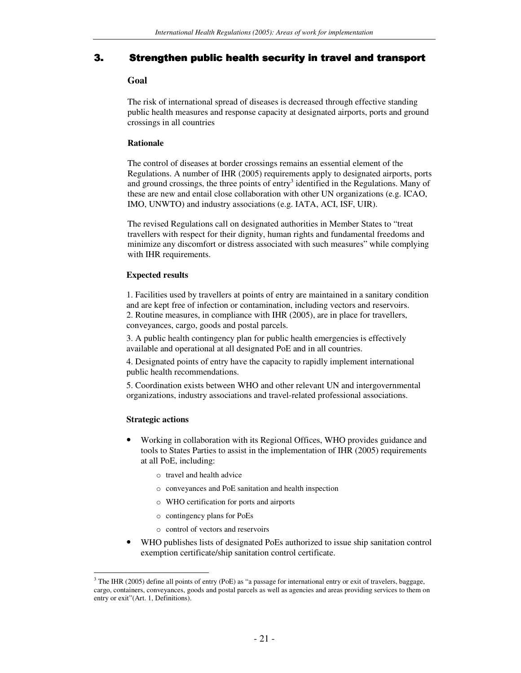## . Strengthen public health security in travel and transport

## **Goal**

The risk of international spread of diseases is decreased through effective standing public health measures and response capacity at designated airports, ports and ground crossings in all countries

## **Rationale**

The control of diseases at border crossings remains an essential element of the Regulations. A number of IHR (2005) requirements apply to designated airports, ports and ground crossings, the three points of entry<sup>3</sup> identified in the Regulations. Many of these are new and entail close collaboration with other UN organizations (e.g. ICAO, IMO, UNWTO) and industry associations (e.g. IATA, ACI, ISF, UIR).

The revised Regulations call on designated authorities in Member States to "treat travellers with respect for their dignity, human rights and fundamental freedoms and minimize any discomfort or distress associated with such measures" while complying with IHR requirements.

#### **Expected results**

1. Facilities used by travellers at points of entry are maintained in a sanitary condition and are kept free of infection or contamination, including vectors and reservoirs. 2. Routine measures, in compliance with IHR (2005), are in place for travellers, conveyances, cargo, goods and postal parcels.

3. A public health contingency plan for public health emergencies is effectively available and operational at all designated PoE and in all countries.

4. Designated points of entry have the capacity to rapidly implement international public health recommendations.

5. Coordination exists between WHO and other relevant UN and intergovernmental organizations, industry associations and travel-related professional associations.

## **Strategic actions**

- Working in collaboration with its Regional Offices, WHO provides guidance and tools to States Parties to assist in the implementation of IHR (2005) requirements at all PoE, including:
	- o travel and health advice
	- o conveyances and PoE sanitation and health inspection
	- o WHO certification for ports and airports
	- o contingency plans for PoEs
	- o control of vectors and reservoirs
- WHO publishes lists of designated PoEs authorized to issue ship sanitation control exemption certificate/ship sanitation control certificate.

 $3$  The IHR (2005) define all points of entry (PoE) as "a passage for international entry or exit of travelers, baggage, cargo, containers, conveyances, goods and postal parcels as well as agencies and areas providing services to them on entry or exit"(Art. 1, Definitions).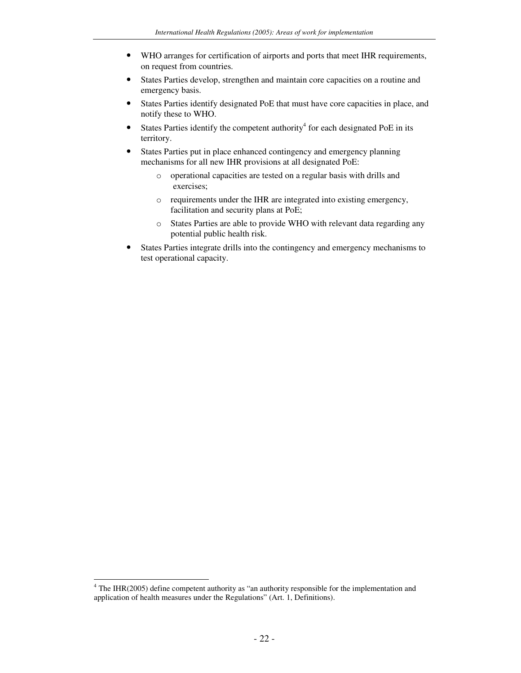- WHO arranges for certification of airports and ports that meet IHR requirements, on request from countries.
- States Parties develop, strengthen and maintain core capacities on a routine and emergency basis.
- States Parties identify designated PoE that must have core capacities in place, and notify these to WHO.
- States Parties identify the competent authority<sup>4</sup> for each designated PoE in its territory.
- States Parties put in place enhanced contingency and emergency planning mechanisms for all new IHR provisions at all designated PoE:
	- o operational capacities are tested on a regular basis with drills and exercises;
	- o requirements under the IHR are integrated into existing emergency, facilitation and security plans at PoE;
	- o States Parties are able to provide WHO with relevant data regarding any potential public health risk.
- States Parties integrate drills into the contingency and emergency mechanisms to test operational capacity.

 $4$  The IHR(2005) define competent authority as "an authority responsible for the implementation and application of health measures under the Regulations" (Art. 1, Definitions).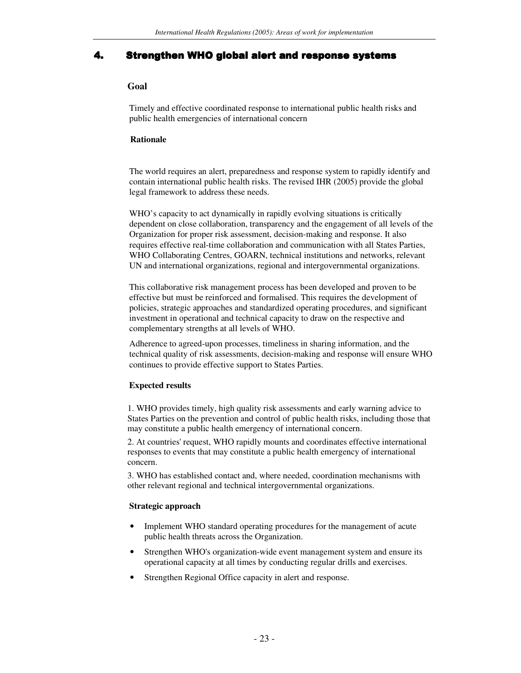## 4. Strengthen WHO global alert and response systems

## **Goal**

Timely and effective coordinated response to international public health risks and public health emergencies of international concern

#### **Rationale**

The world requires an alert, preparedness and response system to rapidly identify and contain international public health risks. The revised IHR (2005) provide the global legal framework to address these needs.

WHO's capacity to act dynamically in rapidly evolving situations is critically dependent on close collaboration, transparency and the engagement of all levels of the Organization for proper risk assessment, decision-making and response. It also requires effective real-time collaboration and communication with all States Parties, WHO Collaborating Centres, GOARN, technical institutions and networks, relevant UN and international organizations, regional and intergovernmental organizations.

This collaborative risk management process has been developed and proven to be effective but must be reinforced and formalised. This requires the development of policies, strategic approaches and standardized operating procedures, and significant investment in operational and technical capacity to draw on the respective and complementary strengths at all levels of WHO.

Adherence to agreed-upon processes, timeliness in sharing information, and the technical quality of risk assessments, decision-making and response will ensure WHO continues to provide effective support to States Parties.

#### **Expected results**

1. WHO provides timely, high quality risk assessments and early warning advice to States Parties on the prevention and control of public health risks, including those that may constitute a public health emergency of international concern.

2. At countries' request, WHO rapidly mounts and coordinates effective international responses to events that may constitute a public health emergency of international concern.

3. WHO has established contact and, where needed, coordination mechanisms with other relevant regional and technical intergovernmental organizations.

#### **Strategic approach**

- Implement WHO standard operating procedures for the management of acute public health threats across the Organization.
- Strengthen WHO's organization-wide event management system and ensure its operational capacity at all times by conducting regular drills and exercises.
- Strengthen Regional Office capacity in alert and response.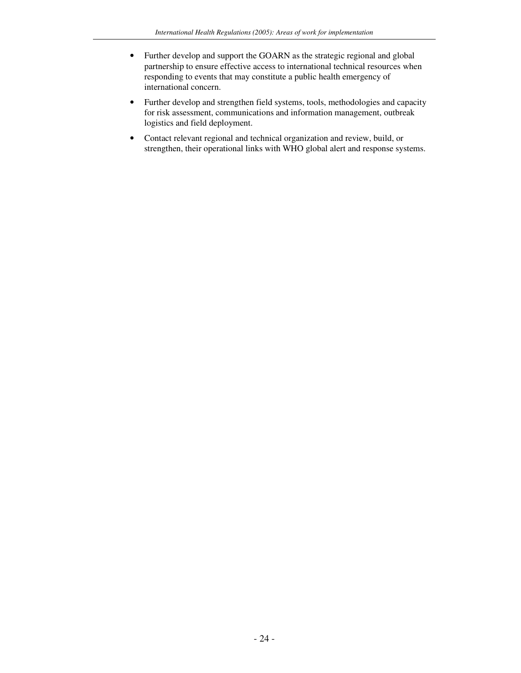- Further develop and support the GOARN as the strategic regional and global partnership to ensure effective access to international technical resources when responding to events that may constitute a public health emergency of international concern.
- Further develop and strengthen field systems, tools, methodologies and capacity for risk assessment, communications and information management, outbreak logistics and field deployment.
- Contact relevant regional and technical organization and review, build, or strengthen, their operational links with WHO global alert and response systems.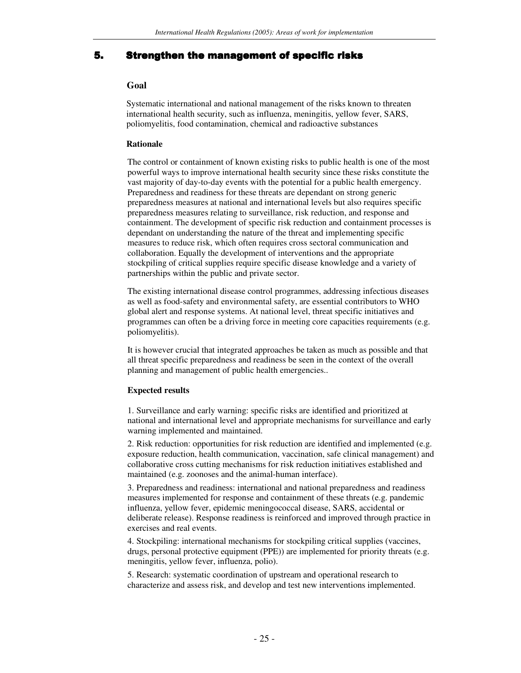## 5. Strengthen the management of specific risks

#### **Goal**

Systematic international and national management of the risks known to threaten international health security, such as influenza, meningitis, yellow fever, SARS, poliomyelitis, food contamination, chemical and radioactive substances

#### **Rationale**

The control or containment of known existing risks to public health is one of the most powerful ways to improve international health security since these risks constitute the vast majority of day-to-day events with the potential for a public health emergency. Preparedness and readiness for these threats are dependant on strong generic preparedness measures at national and international levels but also requires specific preparedness measures relating to surveillance, risk reduction, and response and containment. The development of specific risk reduction and containment processes is dependant on understanding the nature of the threat and implementing specific measures to reduce risk, which often requires cross sectoral communication and collaboration. Equally the development of interventions and the appropriate stockpiling of critical supplies require specific disease knowledge and a variety of partnerships within the public and private sector.

The existing international disease control programmes, addressing infectious diseases as well as food-safety and environmental safety, are essential contributors to WHO global alert and response systems. At national level, threat specific initiatives and programmes can often be a driving force in meeting core capacities requirements (e.g. poliomyelitis).

It is however crucial that integrated approaches be taken as much as possible and that all threat specific preparedness and readiness be seen in the context of the overall planning and management of public health emergencies..

## **Expected results**

1. Surveillance and early warning: specific risks are identified and prioritized at national and international level and appropriate mechanisms for surveillance and early warning implemented and maintained.

2. Risk reduction: opportunities for risk reduction are identified and implemented (e.g. exposure reduction, health communication, vaccination, safe clinical management) and collaborative cross cutting mechanisms for risk reduction initiatives established and maintained (e.g. zoonoses and the animal-human interface).

3. Preparedness and readiness: international and national preparedness and readiness measures implemented for response and containment of these threats (e.g. pandemic influenza, yellow fever, epidemic meningococcal disease, SARS, accidental or deliberate release). Response readiness is reinforced and improved through practice in exercises and real events.

4. Stockpiling: international mechanisms for stockpiling critical supplies (vaccines, drugs, personal protective equipment (PPE)) are implemented for priority threats (e.g. meningitis, yellow fever, influenza, polio).

5. Research: systematic coordination of upstream and operational research to characterize and assess risk, and develop and test new interventions implemented.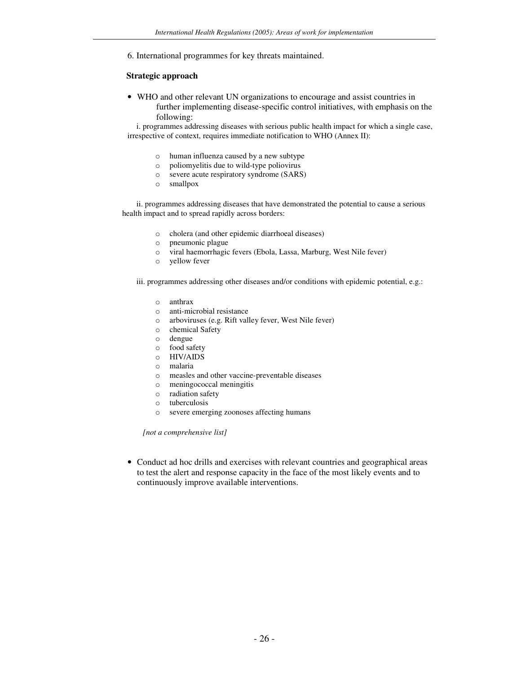6. International programmes for key threats maintained.

#### **Strategic approach**

• WHO and other relevant UN organizations to encourage and assist countries in further implementing disease-specific control initiatives, with emphasis on the following:

i. programmes addressing diseases with serious public health impact for which a single case, irrespective of context, requires immediate notification to WHO (Annex II):

- o human influenza caused by a new subtype
- o poliomyelitis due to wild-type poliovirus
- o severe acute respiratory syndrome (SARS)
- o smallpox

ii. programmes addressing diseases that have demonstrated the potential to cause a serious health impact and to spread rapidly across borders:

- o cholera (and other epidemic diarrhoeal diseases)
- o pneumonic plague
- o viral haemorrhagic fevers (Ebola, Lassa, Marburg, West Nile fever)
- o yellow fever

iii. programmes addressing other diseases and/or conditions with epidemic potential, e.g.:

- o anthrax
- o anti-microbial resistance
- o arboviruses (e.g. Rift valley fever, West Nile fever)
- o chemical Safety
- o dengue
- o food safety
- o HIV/AIDS
- o malaria
- o measles and other vaccine-preventable diseases
- o meningococcal meningitis
- o radiation safety
- o tuberculosis
- o severe emerging zoonoses affecting humans

*[not a comprehensive list]*

• Conduct ad hoc drills and exercises with relevant countries and geographical areas to test the alert and response capacity in the face of the most likely events and to continuously improve available interventions.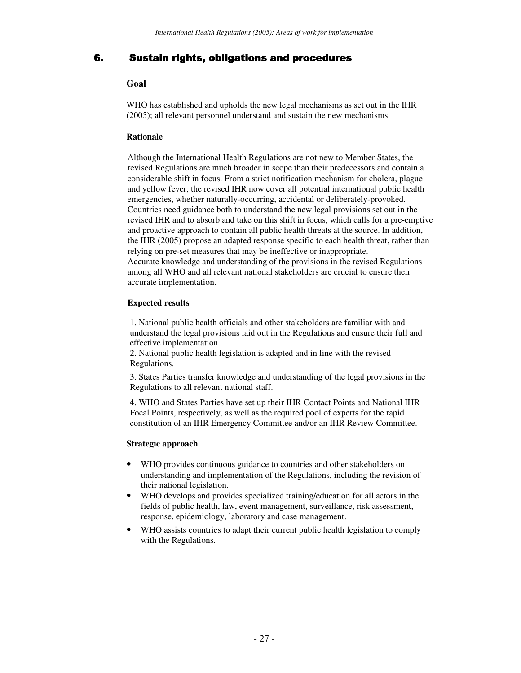## 6. Sustain rights, obligations and procedures

## **Goal**

WHO has established and upholds the new legal mechanisms as set out in the IHR (2005); all relevant personnel understand and sustain the new mechanisms

## **Rationale**

Although the International Health Regulations are not new to Member States, the revised Regulations are much broader in scope than their predecessors and contain a considerable shift in focus. From a strict notification mechanism for cholera, plague and yellow fever, the revised IHR now cover all potential international public health emergencies, whether naturally-occurring, accidental or deliberately-provoked. Countries need guidance both to understand the new legal provisions set out in the revised IHR and to absorb and take on this shift in focus, which calls for a pre-emptive and proactive approach to contain all public health threats at the source. In addition, the IHR (2005) propose an adapted response specific to each health threat, rather than relying on pre-set measures that may be ineffective or inappropriate. Accurate knowledge and understanding of the provisions in the revised Regulations among all WHO and all relevant national stakeholders are crucial to ensure their accurate implementation.

## **Expected results**

1. National public health officials and other stakeholders are familiar with and understand the legal provisions laid out in the Regulations and ensure their full and effective implementation.

2. National public health legislation is adapted and in line with the revised Regulations.

3. States Parties transfer knowledge and understanding of the legal provisions in the Regulations to all relevant national staff.

4. WHO and States Parties have set up their IHR Contact Points and National IHR Focal Points, respectively, as well as the required pool of experts for the rapid constitution of an IHR Emergency Committee and/or an IHR Review Committee.

## **Strategic approach**

- WHO provides continuous guidance to countries and other stakeholders on understanding and implementation of the Regulations, including the revision of their national legislation.
- WHO develops and provides specialized training/education for all actors in the fields of public health, law, event management, surveillance, risk assessment, response, epidemiology, laboratory and case management.
- WHO assists countries to adapt their current public health legislation to comply with the Regulations.